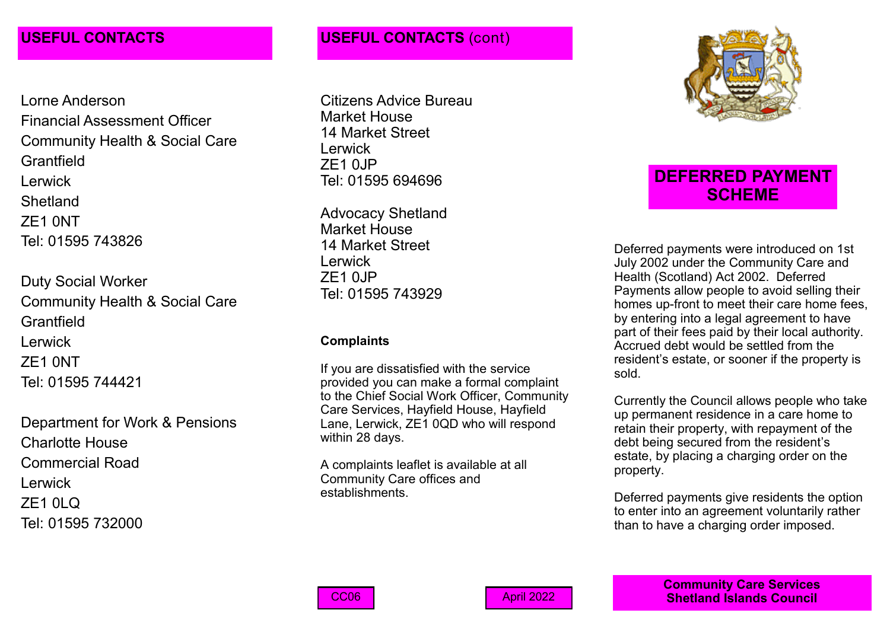Lorne Anderson Financial Assessment Officer Community Health & Social Care **Grantfield** Lerwick **Shetland** ZE1 0NT Tel: 01595 743826

Duty Social Worker Community Health & Social Care **Grantfield** Lerwick ZE1 0NT Tel: 01595 744421

Department for Work & Pensions Charlotte House Commercial Road Lerwick ZE1 0LQ Tel: 01595 732000

## **USEFUL CONTACTS USEFUL CONTACTS** (cont)

Citizens Advice Bureau Market House 14 Market Street **Lerwick** ZE1 0JP Tel: 01595 694696

Advocacy Shetland Market House 14 Market Street **Lerwick**  $ZF1$   $0$ . IP Tel: 01595 743929

### **Complaints**

If you are dissatisfied with the service provided you can make a formal complaint to the Chief Social Work Officer, Community Care Services, Hayfield House, Hayfield Lane, Lerwick, ZE1 0QD who will respond within 28 days.

A complaints leaflet is available at all Community Care offices and establishments.



# **DEFERRED PAYMENT SCHEME**

Deferred payments were introduced on 1st July 2002 under the Community Care and Health (Scotland) Act 2002. Deferred Payments allow people to avoid selling their homes up-front to meet their care home fees, by entering into a legal agreement to have part of their fees paid by their local authority. Accrued debt would be settled from the resident's estate, or sooner if the property is sold.

Currently the Council allows people who take up permanent residence in a care home to retain their property, with repayment of the debt being secured from the resident's estate, by placing a charging order on the property.

Deferred payments give residents the option to enter into an agreement voluntarily rather than to have a charging order imposed.